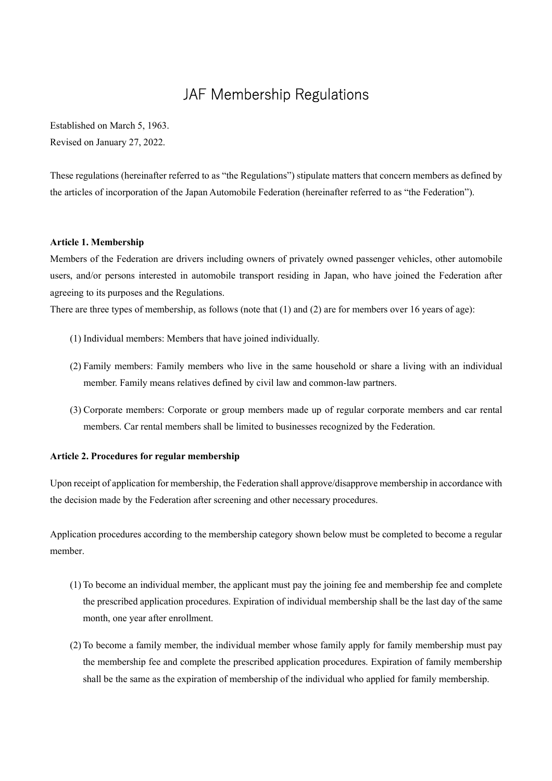# JAF Membership Regulations

Established on March 5, 1963. Revised on January 27, 2022.

These regulations (hereinafter referred to as "the Regulations") stipulate matters that concern members as defined by the articles of incorporation of the Japan Automobile Federation (hereinafter referred to as "the Federation").

#### **Article 1. Membership**

Members of the Federation are drivers including owners of privately owned passenger vehicles, other automobile users, and/or persons interested in automobile transport residing in Japan, who have joined the Federation after agreeing to its purposes and the Regulations.

There are three types of membership, as follows (note that (1) and (2) are for members over 16 years of age):

- (1) Individual members: Members that have joined individually.
- (2) Family members: Family members who live in the same household or share a living with an individual member. Family means relatives defined by civil law and common-law partners.
- (3) Corporate members: Corporate or group members made up of regular corporate members and car rental members. Car rental members shall be limited to businesses recognized by the Federation.

### **Article 2. Procedures for regular membership**

Upon receipt of application for membership, the Federation shall approve/disapprove membership in accordance with the decision made by the Federation after screening and other necessary procedures.

Application procedures according to the membership category shown below must be completed to become a regular member.

- (1) To become an individual member, the applicant must pay the joining fee and membership fee and complete the prescribed application procedures. Expiration of individual membership shall be the last day of the same month, one year after enrollment.
- (2) To become a family member, the individual member whose family apply for family membership must pay the membership fee and complete the prescribed application procedures. Expiration of family membership shall be the same as the expiration of membership of the individual who applied for family membership.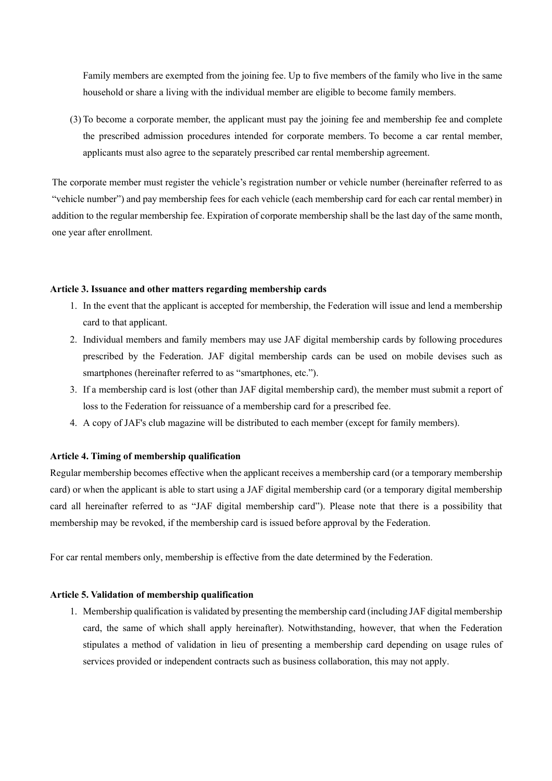Family members are exempted from the joining fee. Up to five members of the family who live in the same household or share a living with the individual member are eligible to become family members.

(3) To become a corporate member, the applicant must pay the joining fee and membership fee and complete the prescribed admission procedures intended for corporate members. To become a car rental member, applicants must also agree to the separately prescribed car rental membership agreement.

The corporate member must register the vehicle's registration number or vehicle number (hereinafter referred to as "vehicle number") and pay membership fees for each vehicle (each membership card for each car rental member) in addition to the regular membership fee. Expiration of corporate membership shall be the last day of the same month, one year after enrollment.

## **Article 3. Issuance and other matters regarding membership cards**

- 1. In the event that the applicant is accepted for membership, the Federation will issue and lend a membership card to that applicant.
- 2. Individual members and family members may use JAF digital membership cards by following procedures prescribed by the Federation. JAF digital membership cards can be used on mobile devises such as smartphones (hereinafter referred to as "smartphones, etc.").
- 3. If a membership card is lost (other than JAF digital membership card), the member must submit a report of loss to the Federation for reissuance of a membership card for a prescribed fee.
- 4. A copy of JAF's club magazine will be distributed to each member (except for family members).

### **Article 4. Timing of membership qualification**

Regular membership becomes effective when the applicant receives a membership card (or a temporary membership card) or when the applicant is able to start using a JAF digital membership card (or a temporary digital membership card all hereinafter referred to as "JAF digital membership card"). Please note that there is a possibility that membership may be revoked, if the membership card is issued before approval by the Federation.

For car rental members only, membership is effective from the date determined by the Federation.

### **Article 5. Validation of membership qualification**

1. Membership qualification is validated by presenting the membership card (including JAF digital membership card, the same of which shall apply hereinafter). Notwithstanding, however, that when the Federation stipulates a method of validation in lieu of presenting a membership card depending on usage rules of services provided or independent contracts such as business collaboration, this may not apply.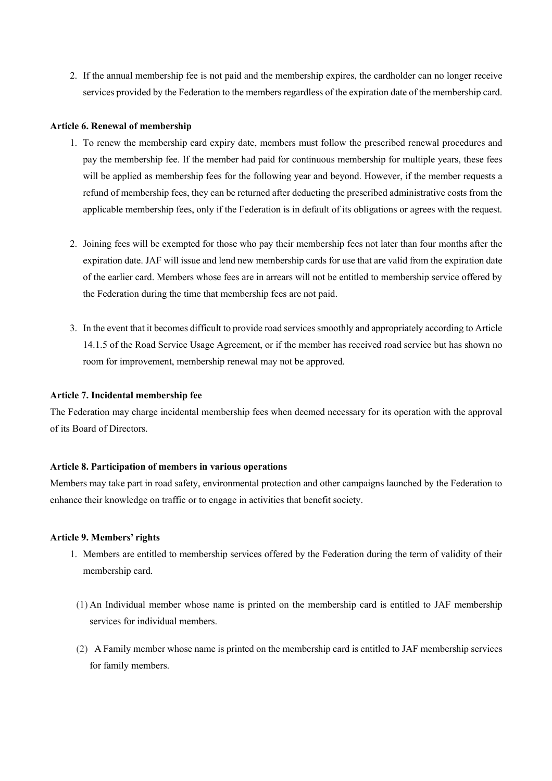2. If the annual membership fee is not paid and the membership expires, the cardholder can no longer receive services provided by the Federation to the members regardless of the expiration date of the membership card.

#### **Article 6. Renewal of membership**

- 1. To renew the membership card expiry date, members must follow the prescribed renewal procedures and pay the membership fee. If the member had paid for continuous membership for multiple years, these fees will be applied as membership fees for the following year and beyond. However, if the member requests a refund of membership fees, they can be returned after deducting the prescribed administrative costs from the applicable membership fees, only if the Federation is in default of its obligations or agrees with the request.
- 2. Joining fees will be exempted for those who pay their membership fees not later than four months after the expiration date. JAF will issue and lend new membership cards for use that are valid from the expiration date of the earlier card. Members whose fees are in arrears will not be entitled to membership service offered by the Federation during the time that membership fees are not paid.
- 3. In the event that it becomes difficult to provide road services smoothly and appropriately according to Article 14.1.5 of the Road Service Usage Agreement, or if the member has received road service but has shown no room for improvement, membership renewal may not be approved.

#### **Article 7. Incidental membership fee**

The Federation may charge incidental membership fees when deemed necessary for its operation with the approval of its Board of Directors.

#### **Article 8. Participation of members in various operations**

Members may take part in road safety, environmental protection and other campaigns launched by the Federation to enhance their knowledge on traffic or to engage in activities that benefit society.

#### **Article 9. Members' rights**

- 1. Members are entitled to membership services offered by the Federation during the term of validity of their membership card.
- (1) An Individual member whose name is printed on the membership card is entitled to JAF membership services for individual members.
- (2) A Family member whose name is printed on the membership card is entitled to JAF membership services for family members.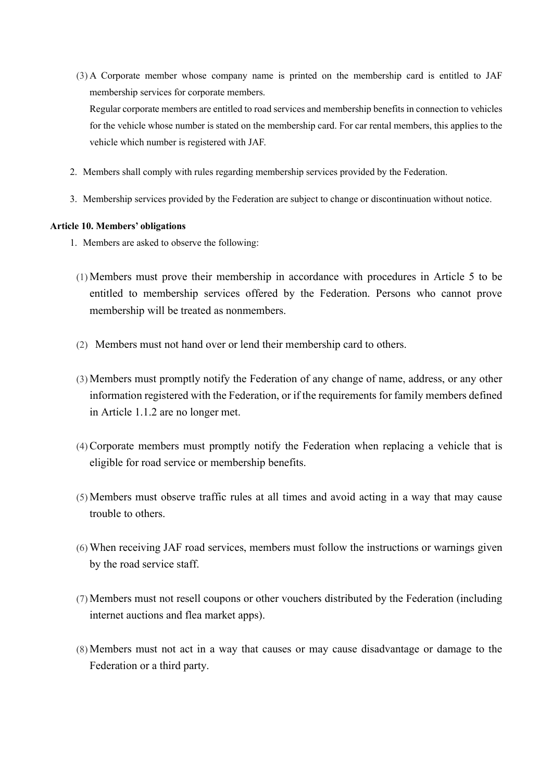(3) A Corporate member whose company name is printed on the membership card is entitled to JAF membership services for corporate members.

Regular corporate members are entitled to road services and membership benefits in connection to vehicles for the vehicle whose number is stated on the membership card. For car rental members, this applies to the vehicle which number is registered with JAF.

- 2. Members shall comply with rules regarding membership services provided by the Federation.
- 3. Membership services provided by the Federation are subject to change or discontinuation without notice.

## **Article 10. Members' obligations**

- 1. Members are asked to observe the following:
	- (1) Members must prove their membership in accordance with procedures in Article 5 to be entitled to membership services offered by the Federation. Persons who cannot prove membership will be treated as nonmembers.
	- (2) Members must not hand over or lend their membership card to others.
	- (3) Members must promptly notify the Federation of any change of name, address, or any other information registered with the Federation, or if the requirements for family members defined in Article 1.1.2 are no longer met.
	- (4)Corporate members must promptly notify the Federation when replacing a vehicle that is eligible for road service or membership benefits.
	- (5) Members must observe traffic rules at all times and avoid acting in a way that may cause trouble to others.
	- (6) When receiving JAF road services, members must follow the instructions or warnings given by the road service staff.
	- (7) Members must not resell coupons or other vouchers distributed by the Federation (including internet auctions and flea market apps).
	- (8) Members must not act in a way that causes or may cause disadvantage or damage to the Federation or a third party.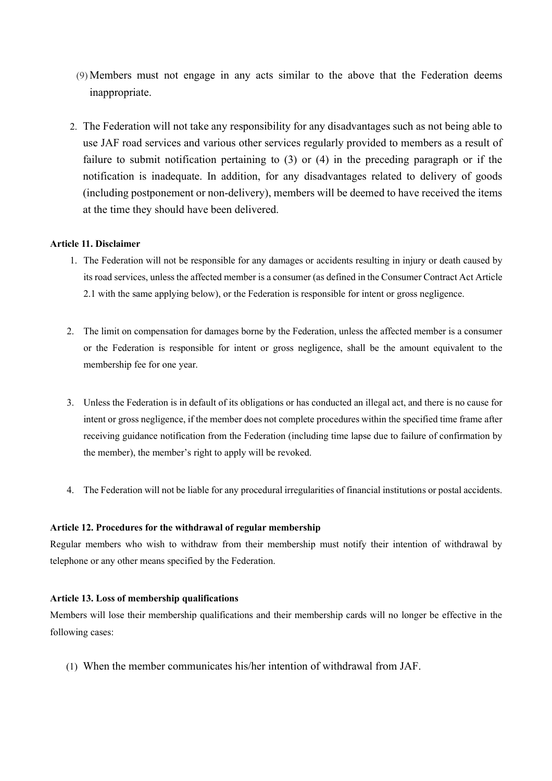- (9) Members must not engage in any acts similar to the above that the Federation deems inappropriate.
- 2. The Federation will not take any responsibility for any disadvantages such as not being able to use JAF road services and various other services regularly provided to members as a result of failure to submit notification pertaining to (3) or (4) in the preceding paragraph or if the notification is inadequate. In addition, for any disadvantages related to delivery of goods (including postponement or non-delivery), members will be deemed to have received the items at the time they should have been delivered.

## **Article 11. Disclaimer**

- 1. The Federation will not be responsible for any damages or accidents resulting in injury or death caused by its road services, unless the affected member is a consumer (as defined in the Consumer Contract Act Article 2.1 with the same applying below), or the Federation is responsible for intent or gross negligence.
- 2. The limit on compensation for damages borne by the Federation, unless the affected member is a consumer or the Federation is responsible for intent or gross negligence, shall be the amount equivalent to the membership fee for one year.
- 3. Unless the Federation is in default of its obligations or has conducted an illegal act, and there is no cause for intent or gross negligence, if the member does not complete procedures within the specified time frame after receiving guidance notification from the Federation (including time lapse due to failure of confirmation by the member), the member's right to apply will be revoked.
- 4. The Federation will not be liable for any procedural irregularities of financial institutions or postal accidents.

## **Article 12. Procedures for the withdrawal of regular membership**

Regular members who wish to withdraw from their membership must notify their intention of withdrawal by telephone or any other means specified by the Federation.

# **Article 13. Loss of membership qualifications**

Members will lose their membership qualifications and their membership cards will no longer be effective in the following cases:

(1) When the member communicates his/her intention of withdrawal from JAF.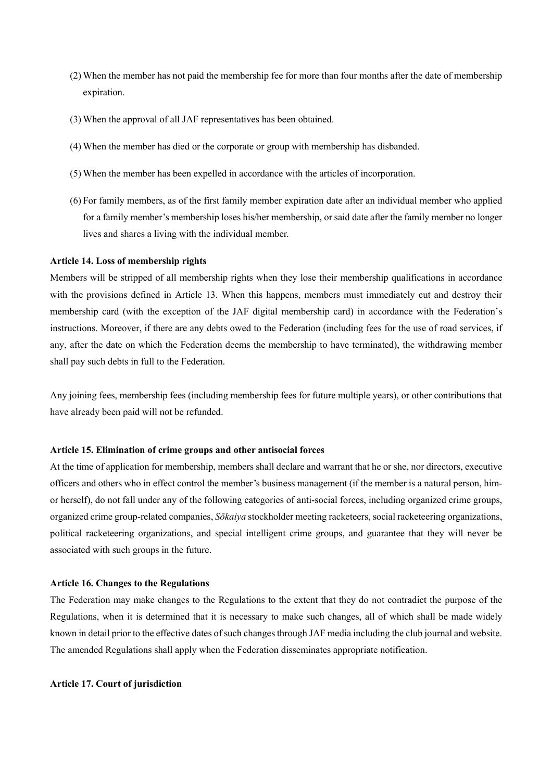- (2) When the member has not paid the membership fee for more than four months after the date of membership expiration.
- (3) When the approval of all JAF representatives has been obtained.
- (4) When the member has died or the corporate or group with membership has disbanded.
- (5) When the member has been expelled in accordance with the articles of incorporation.
- (6) For family members, as of the first family member expiration date after an individual member who applied for a family member's membership loses his/her membership, or said date after the family member no longer lives and shares a living with the individual member.

#### **Article 14. Loss of membership rights**

Members will be stripped of all membership rights when they lose their membership qualifications in accordance with the provisions defined in Article 13. When this happens, members must immediately cut and destroy their membership card (with the exception of the JAF digital membership card) in accordance with the Federation's instructions. Moreover, if there are any debts owed to the Federation (including fees for the use of road services, if any, after the date on which the Federation deems the membership to have terminated), the withdrawing member shall pay such debts in full to the Federation.

Any joining fees, membership fees (including membership fees for future multiple years), or other contributions that have already been paid will not be refunded.

#### **Article 15. Elimination of crime groups and other antisocial forces**

At the time of application for membership, members shall declare and warrant that he or she, nor directors, executive officers and others who in effect control the member's business management (if the member is a natural person, himor herself), do not fall under any of the following categories of anti-social forces, including organized crime groups, organized crime group-related companies, *Skaiya* stockholder meeting racketeers, social racketeering organizations, political racketeering organizations, and special intelligent crime groups, and guarantee that they will never be associated with such groups in the future.

#### **Article 16. Changes to the Regulations**

The Federation may make changes to the Regulations to the extent that they do not contradict the purpose of the Regulations, when it is determined that it is necessary to make such changes, all of which shall be made widely known in detail prior to the effective dates of such changes through JAF media including the club journal and website. The amended Regulations shall apply when the Federation disseminates appropriate notification.

#### **Article 17. Court of jurisdiction**